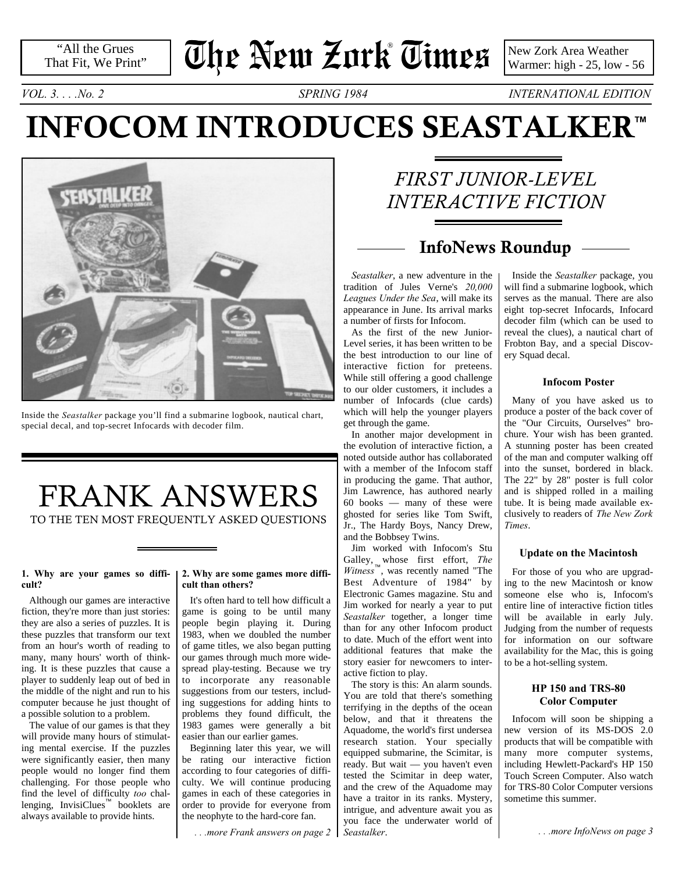"All the Grues That Fit, We Print"

# **The New Zork Times** ®

New Zork Area Weather Warmer: high - 25, low - 56

*VOL. 3. . . .No. 2 SPRING 1984 INTERNATIONAL EDITION*

## **INFOCOM INTRODUCES SEASTALKER™**



Inside the *Seastalker* package you'll find a submarine logbook, nautical chart, special decal, and top-secret Infocards with decoder film.

### FRANK ANSWERS TO THE TEN MOST FREQUENTLY ASKED QUESTIONS

### **cult?**

Although our games are interactive fiction, they're more than just stories: they are also a series of puzzles. It is these puzzles that transform our text from an hour's worth of reading to many, many hours' worth of thinking. It is these puzzles that cause a player to suddenly leap out of bed in the middle of the night and run to his computer because he just thought of a possible solution to a problem.

The value of our games is that they will provide many hours of stimulating mental exercise. If the puzzles were significantly easier, then many people would no longer find them challenging. For those people who find the level of difficulty *too* challenging, InvisiClues™ booklets are always available to provide hints.

#### **1. Why are your games so diffi-2. Why are some games more difficult than others?**

<span id="page-0-0"></span>It's often hard to tell how difficult a game is going to be until many people begin playing it. During 1983, when we doubled the number of game titles, we also began putting our games through much more widespread play-testing. Because we try to incorporate any reasonable suggestions from our testers, including suggestions for adding hints to problems they found difficult, the 1983 games were generally a bit easier than our earlier games.

Beginning later this year, we will be rating our interactive fiction according to four categories of difficulty. We will continue producing games in each of these categories in order to provide for everyone from the neophyte to the hard-core fan.

*[. . .more Frank answers on page 2](#page-1-0)*

### *FIRST JUNIOR-LEVEL INTERACTIVE FICTION*

### **InfoNews Roundup**

*Seastalker*, a new adventure in the tradition of Jules Verne's *20,000 Leagues Under the Sea*, will make its appearance in June. Its arrival marks a number of firsts for Infocom.

As the first of the new Junior-Level series, it has been written to be the best introduction to our line of interactive fiction for preteens. While still offering a good challenge to our older customers, it includes a number of Infocards (clue cards) which will help the younger players get through the game.

In another major development in the evolution of interactive fiction, a noted outside author has collaborated with a member of the Infocom staff in producing the game. That author, Jim Lawrence, has authored nearly 60 books — many of these were ghosted for series like Tom Swift, Jr., The Hardy Boys, Nancy Drew, and the Bobbsey Twins.

Jim worked with Infocom's Stu Galley, whose first effort, *The Witness*™, was recently named "The Best Adventure of 1984" by Electronic Games magazine. Stu and Jim worked for nearly a year to put *Seastalker* together, a longer time than for any other Infocom product to date. Much of the effort went into additional features that make the story easier for newcomers to interactive fiction to play.

The story is this: An alarm sounds. You are told that there's something terrifying in the depths of the ocean below, and that it threatens the Aquadome, the world's first undersea research station. Your specially equipped submarine, the Scimitar, is ready. But wait — you haven't even tested the Scimitar in deep water, and the crew of the Aquadome may have a traitor in its ranks. Mystery, intrigue, and adventure await you as you face the underwater world of *Seastalker*.

Inside the *Seastalker* package, you will find a submarine logbook, which serves as the manual. There are also eight top-secret Infocards, Infocard decoder film (which can be used to reveal the clues), a nautical chart of Frobton Bay, and a special Discovery Squad decal.

#### **Infocom Poster**

Many of you have asked us to produce a poster of the back cover of the "Our Circuits, Ourselves" brochure. Your wish has been granted. A stunning poster has been created of the man and computer walking off into the sunset, bordered in black. The 22" by 28" poster is full color and is shipped rolled in a mailing tube. It is being made available exclusively to readers of *The New Zork Times*.

#### **Update on the Macintosh**

<span id="page-0-1"></span>For those of you who are upgrading to the new Macintosh or know someone else who is, Infocom's entire line of interactive fiction titles will be available in early July. Judging from the number of requests for information on our software availability for the Mac, this is going to be a hot-selling system.

#### **HP 150 and TRS-80 Color Computer**

Infocom will soon be shipping a new version of its MS-DOS 2.0 products that will be compatible with many more computer systems, including Hewlett-Packard's HP 150 Touch Screen Computer. Also watch for TRS-80 Color Computer versions sometime this summer.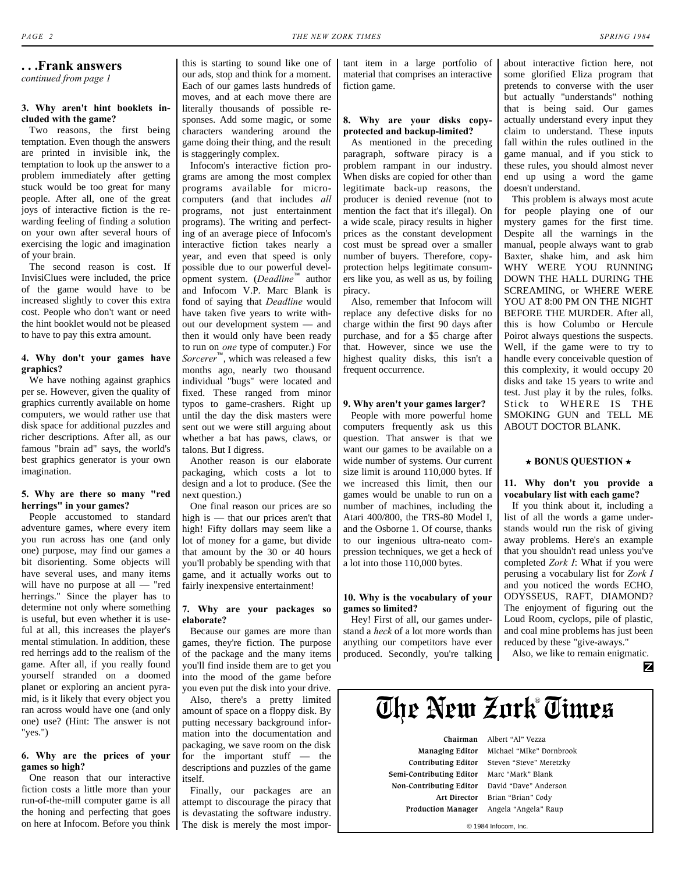#### <span id="page-1-0"></span>**. . .Frank answers**

*[continued from page 1](#page-0-0)*

#### **3. Why aren't hint booklets included with the game?**

Two reasons, the first being temptation. Even though the answers are printed in invisible ink, the temptation to look up the answer to a problem immediately after getting stuck would be too great for many people. After all, one of the great joys of interactive fiction is the rewarding feeling of finding a solution on your own after several hours of exercising the logic and imagination of your brain.

The second reason is cost. If InvisiClues were included, the price of the game would have to be increased slightly to cover this extra cost. People who don't want or need the hint booklet would not be pleased to have to pay this extra amount.

#### **4. Why don't your games have graphics?**

We have nothing against graphics per se. However, given the quality of graphics currently available on home computers, we would rather use that disk space for additional puzzles and richer descriptions. After all, as our famous "brain ad" says, the world's best graphics generator is your own imagination.

#### **5. Why are there so many "red herrings" in your games?**

People accustomed to standard adventure games, where every item you run across has one (and only one) purpose, may find our games a bit disorienting. Some objects will have several uses, and many items will have no purpose at all — "red herrings." Since the player has to determine not only where something is useful, but even whether it is useful at all, this increases the player's mental stimulation. In addition, these red herrings add to the realism of the game. After all, if you really found yourself stranded on a doomed planet or exploring an ancient pyramid, is it likely that every object you ran across would have one (and only one) use? (Hint: The answer is not "yes.")

#### **6. Why are the prices of your games so high?**

One reason that our interactive fiction costs a little more than your run-of-the-mill computer game is all the honing and perfecting that goes on here at Infocom. Before you think this is starting to sound like one of our ads, stop and think for a moment. Each of our games lasts hundreds of moves, and at each move there are literally thousands of possible responses. Add some magic, or some characters wandering around the game doing their thing, and the result is staggeringly complex.

Infocom's interactive fiction programs are among the most complex programs available for microcomputers (and that includes *all* programs, not just entertainment programs). The writing and perfecting of an average piece of Infocom's interactive fiction takes nearly a year, and even that speed is only possible due to our powerful development system. (*Deadline*™ author and Infocom V.P. Marc Blank is fond of saying that *Deadline* would have taken five years to write without our development system — and then it would only have been ready to run on *one* type of computer.) For *Sorcerer*™, which was released a few months ago, nearly two thousand individual "bugs" were located and fixed. These ranged from minor typos to game-crashers. Right up until the day the disk masters were sent out we were still arguing about whether a bat has paws, claws, or talons. But I digress.

Another reason is our elaborate packaging, which costs a lot to design and a lot to produce. (See the next question.)

One final reason our prices are so high is — that our prices aren't that high! Fifty dollars may seem like a lot of money for a game, but divide that amount by the 30 or 40 hours you'll probably be spending with that game, and it actually works out to fairly inexpensive entertainment!

#### **7. Why are your packages so elaborate?**

Because our games are more than games, they're fiction. The purpose of the package and the many items you'll find inside them are to get you into the mood of the game before you even put the disk into your drive.

Also, there's a pretty limited amount of space on a floppy disk. By putting necessary background information into the documentation and packaging, we save room on the disk for the important stuff — the descriptions and puzzles of the game itself.

Finally, our packages are an attempt to discourage the piracy that is devastating the software industry. The disk is merely the most important item in a large portfolio of material that comprises an interactive fiction game.

#### **8. Why are your disks copyprotected and backup-limited?**

As mentioned in the preceding paragraph, software piracy is a problem rampant in our industry. When disks are copied for other than legitimate back-up reasons, the producer is denied revenue (not to mention the fact that it's illegal). On a wide scale, piracy results in higher prices as the constant development cost must be spread over a smaller number of buyers. Therefore, copyprotection helps legitimate consumers like you, as well as us, by foiling piracy.

Also, remember that Infocom will replace any defective disks for no charge within the first 90 days after purchase, and for a \$5 charge after that. However, since we use the highest quality disks, this isn't a frequent occurrence.

#### **9. Why aren't your games larger?**

People with more powerful home computers frequently ask us this question. That answer is that we want our games to be available on a wide number of systems. Our current size limit is around 110,000 bytes. If we increased this limit, then our games would be unable to run on a number of machines, including the Atari 400/800, the TRS-80 Model I, and the Osborne 1. Of course, thanks to our ingenious ultra-neato compression techniques, we get a heck of a lot into those 110,000 bytes.

#### **10. Why is the vocabulary of your games so limited?**

Hey! First of all, our games understand a *heck* of a lot more words than anything our competitors have ever produced. Secondly, you're talking about interactive fiction here, not some glorified Eliza program that pretends to converse with the user but actually "understands" nothing that is being said. Our games actually understand every input they claim to understand. These inputs fall within the rules outlined in the game manual, and if you stick to these rules, you should almost never end up using a word the game doesn't understand.

This problem is always most acute for people playing one of our mystery games for the first time. Despite all the warnings in the manual, people always want to grab Baxter, shake him, and ask him WHY WERE YOU RUNNING DOWN THE HALL DURING THE SCREAMING, or WHERE WERE YOU AT 8:00 PM ON THE NIGHT BEFORE THE MURDER. After all, this is how Columbo or Hercule Poirot always questions the suspects. Well, if the game were to try to handle every conceivable question of this complexity, it would occupy 20 disks and take 15 years to write and test. Just play it by the rules, folks. Stick to WHERE IS THE SMOKING GUN and TELL ME ABOUT DOCTOR BLANK.

#### **j BONUS QUESTION j**

#### **11. Why don't you provide a vocabulary list with each game?**

If you think about it, including a list of all the words a game understands would run the risk of giving away problems. Here's an example that you shouldn't read unless you've completed *Zork I*: What if you were perusing a vocabulary list for *Zork I* and you noticed the words ECHO, ODYSSEUS, RAFT, DIAMOND? The enjoyment of figuring out the Loud Room, cyclops, pile of plastic, and coal mine problems has just been reduced by these "give-aways."

Also, we like to remain enigmatic.

z

## **The New Zork Times** ®

 **Chairman** Albert "Al" Vezza  **Semi-Contributing Editor** Marc "Mark" Blank  **Non-Contributing Editor** David "Dave" Anderson

 **Managing Editor** Michael "Mike" Dornbrook  **Contributing Editor** Steven "Steve" Meretzky  **Art Director** Brian "Brian" Cody  **Production Manager** Angela "Angela" Raup

© 1984 Infocom, Inc.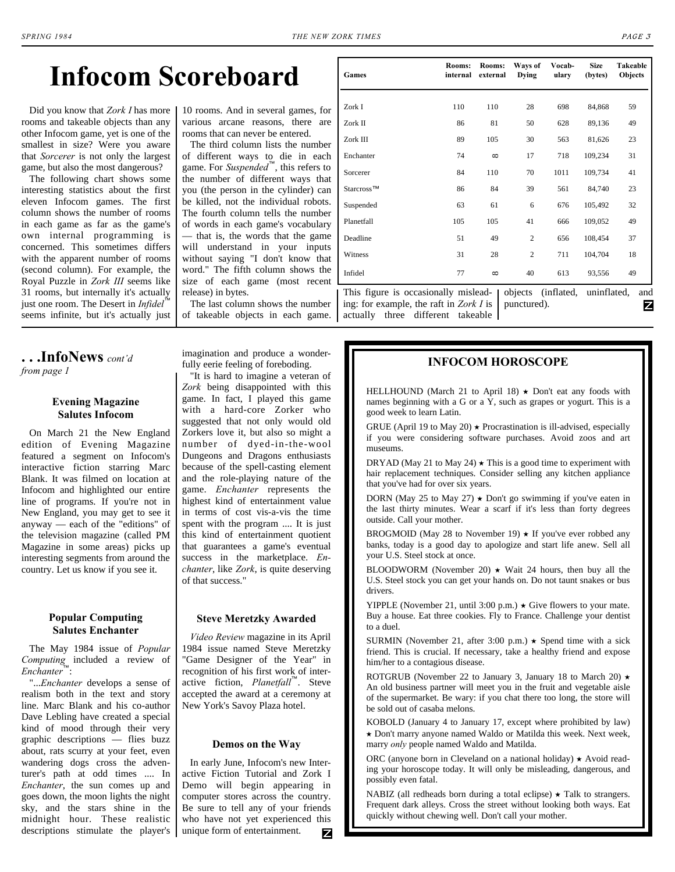## **Infocom Scoreboard**

Did you know that *Zork I* has more rooms and takeable objects than any other Infocom game, yet is one of the smallest in size? Were you aware that *Sorcerer* is not only the largest game, but also the most dangerous?

The following chart shows some interesting statistics about the first eleven Infocom games. The first column shows the number of rooms in each game as far as the game's own internal programming is concerned. This sometimes differs with the apparent number of rooms (second column). For example, the Royal Puzzle in *Zork III* seems like 31 rooms, but internally it's actually just one room. The Desert in *Infidel*™ seems infinite, but it's actually just

10 rooms. And in several games, for various arcane reasons, there are rooms that can never be entered.

The third column lists the number of different ways to die in each game. For *Suspended*™, this refers to the number of different ways that you (the person in the cylinder) can be killed, not the individual robots. The fourth column tells the number of words in each game's vocabulary — that is, the words that the game will understand in your inputs without saying "I don't know that word." The fifth column shows the size of each game (most recent release) in bytes.

The last column shows the number of takeable objects in each game. actually three different takeable

| Games                                          | Rooms:<br>internal | Rooms:<br>external | Ways of<br><b>Dying</b> | Vocab-<br>ularv | <b>Size</b><br>(bytes) | Takeable<br>Objects |
|------------------------------------------------|--------------------|--------------------|-------------------------|-----------------|------------------------|---------------------|
|                                                |                    |                    |                         |                 |                        |                     |
| Zork I                                         | 110                | 110                | 28                      | 698             | 84,868                 | 59                  |
| Zork II                                        | 86                 | 81                 | 50                      | 628             | 89,136                 | 49                  |
| Zork III                                       | 89                 | 105                | 30                      | 563             | 81,626                 | 23                  |
| Enchanter                                      | 74                 | $\infty$           | 17                      | 718             | 109,234                | 31                  |
| Sorcerer                                       | 84                 | 110                | 70                      | 1011            | 109,734                | 41                  |
| Starcross™                                     | 86                 | 84                 | 39                      | 561             | 84,740                 | 23                  |
| Suspended                                      | 63                 | 61                 | 6                       | 676             | 105,492                | 32                  |
| Planetfall                                     | 105                | 105                | 41                      | 666             | 109,052                | 49                  |
| Deadline                                       | 51                 | 49                 | $\overline{2}$          | 656             | 108,454                | 37                  |
| Witness                                        | 31                 | 28                 | $\mathbf{2}$            | 711             | 104,704                | 18                  |
| Infidel                                        | 77                 | $\infty$           | 40                      | 613             | 93,556                 | 49                  |
| This figure is occasionally mislead-   objects |                    |                    |                         | (inflated,      | uninflated,            | and                 |

ing: for example, the raft in *Zork I* is punctured).

<span id="page-2-0"></span>**. . .InfoNews** *cont'd [from page 1](#page-0-1)*

#### **Evening Magazine Salutes Infocom**

On March 21 the New England edition of Evening Magazine featured a segment on Infocom's interactive fiction starring Marc Blank. It was filmed on location at Infocom and highlighted our entire line of programs. If you're not in New England, you may get to see it anyway — each of the "editions" of the television magazine (called PM Magazine in some areas) picks up interesting segments from around the country. Let us know if you see it.

#### **Popular Computing Salutes Enchanter**

The May 1984 issue of *Popular Computing* included a review of *Enchanter*™:

"...*Enchanter* develops a sense of realism both in the text and story line. Marc Blank and his co-author Dave Lebling have created a special kind of mood through their very graphic descriptions — flies buzz about, rats scurry at your feet, even wandering dogs cross the adventurer's path at odd times .... In *Enchanter*, the sun comes up and goes down, the moon lights the night sky, and the stars shine in the midnight hour. These realistic descriptions stimulate the player's imagination and produce a wonderfully eerie feeling of foreboding.

"It is hard to imagine a veteran of *Zork* being disappointed with this game. In fact, I played this game with a hard-core Zorker who suggested that not only would old Zorkers love it, but also so might a number of dyed-in-the-wool Dungeons and Dragons enthusiasts because of the spell-casting element and the role-playing nature of the game. *Enchanter* represents the highest kind of entertainment value in terms of cost vis-a-vis the time spent with the program .... It is just this kind of entertainment quotient that guarantees a game's eventual success in the marketplace. *Enchanter*, like *Zork*, is quite deserving of that success."

#### **Steve Meretzky Awarded**

*Video Review* magazine in its April 1984 issue named Steve Meretzky "Game Designer of the Year" in recognition of his first work of interactive fiction, *Planetfall*™. Steve accepted the award at a ceremony at New York's Savoy Plaza hotel.

#### **Demos on the Way**

In early June, Infocom's new Interactive Fiction Tutorial and Zork I Demo will begin appearing in computer stores across the country. Be sure to tell any of your friends who have not yet experienced this unique form of entertainment. z

### **INFOCOM HOROSCOPE**

HELLHOUND (March 21 to April 18)  $\star$  Don't eat any foods with names beginning with a G or a Y, such as grapes or yogurt. This is a good week to learn Latin.

GRUE (April 19 to May 20)  $\star$  Procrastination is ill-advised, especially if you were considering software purchases. Avoid zoos and art museums.

DRYAD (May 21 to May 24)  $\star$  This is a good time to experiment with hair replacement techniques. Consider selling any kitchen appliance that you've had for over six years.

DORN (May 25 to May 27)  $\star$  Don't go swimming if you've eaten in the last thirty minutes. Wear a scarf if it's less than forty degrees outside. Call your mother.

BROGMOID (May 28 to November 19)  $\star$  If you've ever robbed any banks, today is a good day to apologize and start life anew. Sell all your U.S. Steel stock at once.

BLOODWORM (November 20)  $\star$  Wait 24 hours, then buy all the U.S. Steel stock you can get your hands on. Do not taunt snakes or bus drivers.

YIPPLE (November 21, until 3:00 p.m.)  $\star$  Give flowers to your mate. Buy a house. Eat three cookies. Fly to France. Challenge your dentist to a duel.

SURMIN (November 21, after 3:00 p.m.)  $\star$  Spend time with a sick friend. This is crucial. If necessary, take a healthy friend and expose him/her to a contagious disease.

ROTGRUB (November 22 to January 3, January 18 to March 20)  $\star$ An old business partner will meet you in the fruit and vegetable aisle of the supermarket. Be wary: if you chat there too long, the store will be sold out of casaba melons.

KOBOLD (January 4 to January 17, except where prohibited by law)  $\star$  Don't marry anyone named Waldo or Matilda this week. Next week, marry *only* people named Waldo and Matilda.

ORC (anyone born in Cleveland on a national holiday)  $\star$  Avoid reading your horoscope today. It will only be misleading, dangerous, and possibly even fatal.

NABIZ (all redheads born during a total eclipse)  $\star$  Talk to strangers. Frequent dark alleys. Cross the street without looking both ways. Eat quickly without chewing well. Don't call your mother.

Z